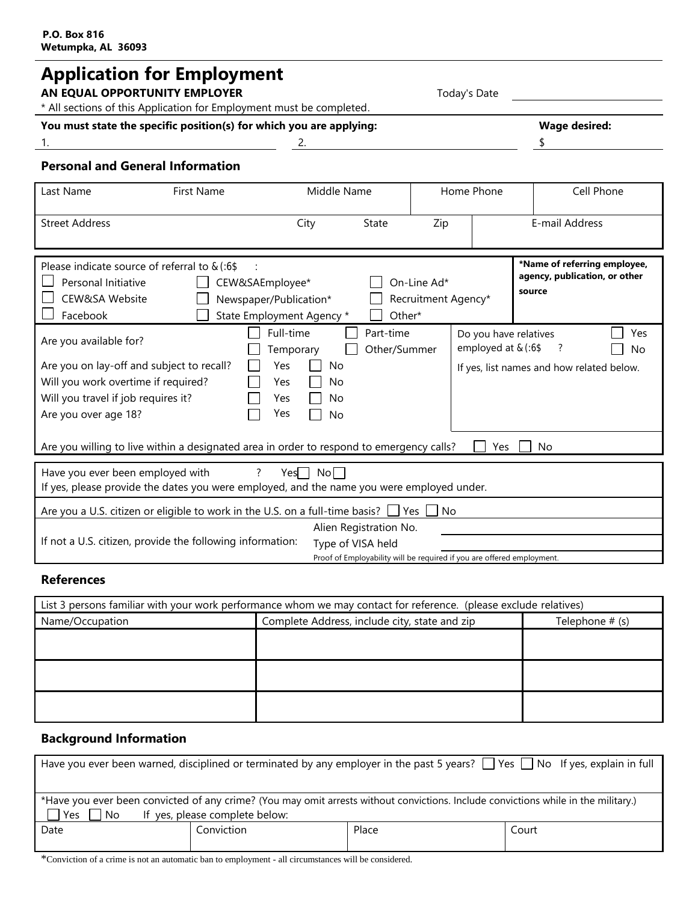| <b>Application for Employment</b><br>AN EQUAL OPPORTUNITY EMPLOYER<br>Today's Date<br>* All sections of this Application for Employment must be completed.                                                                                                                                                                                                                                      |                                                                                                                       |                                                                                                                                                                   |                  |  |
|-------------------------------------------------------------------------------------------------------------------------------------------------------------------------------------------------------------------------------------------------------------------------------------------------------------------------------------------------------------------------------------------------|-----------------------------------------------------------------------------------------------------------------------|-------------------------------------------------------------------------------------------------------------------------------------------------------------------|------------------|--|
| You must state the specific position(s) for which you are applying:                                                                                                                                                                                                                                                                                                                             |                                                                                                                       | <b>Wage desired:</b>                                                                                                                                              |                  |  |
|                                                                                                                                                                                                                                                                                                                                                                                                 | 2.                                                                                                                    |                                                                                                                                                                   |                  |  |
| <b>Personal and General Information</b>                                                                                                                                                                                                                                                                                                                                                         |                                                                                                                       |                                                                                                                                                                   |                  |  |
| Last Name<br>First Name                                                                                                                                                                                                                                                                                                                                                                         | Middle Name                                                                                                           | Home Phone<br>Cell Phone                                                                                                                                          |                  |  |
| <b>Street Address</b>                                                                                                                                                                                                                                                                                                                                                                           | City<br>State<br>Zip                                                                                                  | E-mail Address                                                                                                                                                    |                  |  |
| Please indicate source of referral to &(:6<br>Personal Initiative<br>CEW&SAEmployee*<br>CEW&SA Website<br>Newspaper/Publication*<br>State Employment Agency *<br>Facebook<br>Full-time<br>Are you available for?<br>Are you on lay-off and subject to recall?<br>Yes<br>Will you work overtime if required?<br>Yes<br>Will you travel if job requires it?<br>Yes<br>Are you over age 18?<br>Yes | On-Line Ad*<br>Recruitment Agency*<br>Other*<br>Part-time<br>Other/Summer<br>Temporary<br>No<br>No<br>No<br><b>No</b> | *Name of referring employee,<br>agency, publication, or other<br>source<br>Do you have relatives<br>employed at &(:6<br>If yes, list names and how related below. | Yes<br><b>No</b> |  |
| Are you willing to live within a designated area in order to respond to emergency calls?                                                                                                                                                                                                                                                                                                        |                                                                                                                       | Yes<br>No                                                                                                                                                         |                  |  |
| Have you ever been employed with CEW& SA?<br>If yes, please provide the dates you were employed, and the name you were employed under.                                                                                                                                                                                                                                                          | $Yes \Box No \Box$                                                                                                    |                                                                                                                                                                   |                  |  |
| Are you a U.S. citizen or eligible to work in the U.S. on a full-time basis? $\Box$ Yes $\Box$ No<br>If not a U.S. citizen, provide the following information:                                                                                                                                                                                                                                  | Alien Registration No.<br>Type of VISA held<br>Proof of Employability will be required if you are offered employment. |                                                                                                                                                                   |                  |  |

## **References**

|                 | List 3 persons familiar with your work performance whom we may contact for reference. (please exclude relatives) |  |  |
|-----------------|------------------------------------------------------------------------------------------------------------------|--|--|
| Name/Occupation | Complete Address, include city, state and zip<br>Telephone $# (s)$                                               |  |  |
|                 |                                                                                                                  |  |  |
|                 |                                                                                                                  |  |  |
|                 |                                                                                                                  |  |  |
|                 |                                                                                                                  |  |  |
|                 |                                                                                                                  |  |  |
|                 |                                                                                                                  |  |  |

# **Background Information**

| Have you ever been warned, disciplined or terminated by any employer in the past 5 years? $\Box$ Yes $\Box$ No If yes, explain in full |            |       |       |  |  |
|----------------------------------------------------------------------------------------------------------------------------------------|------------|-------|-------|--|--|
|                                                                                                                                        |            |       |       |  |  |
| *Have you ever been convicted of any crime? (You may omit arrests without convictions. Include convictions while in the military.)     |            |       |       |  |  |
| If yes, please complete below:<br>No<br>$\mathsf{Yes}$                                                                                 |            |       |       |  |  |
| Date                                                                                                                                   | Conviction | Place | Court |  |  |
|                                                                                                                                        |            |       |       |  |  |

\*Conviction of a crime is not an automatic ban to employment - all circumstances will be considered.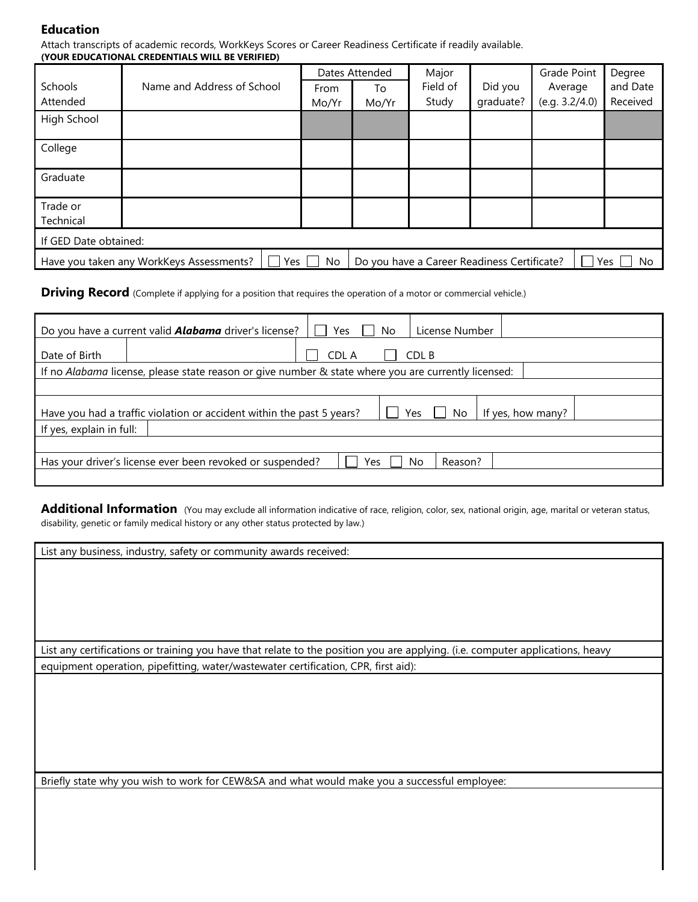## **Education**

Attach transcripts of academic records, WorkKeys Scores or Career Readiness Certificate if readily available. **(YOUR EDUCATIONAL CREDENTIALS WILL BE VERIFIED)**

|                       |                                                 |               | Dates Attended | Major             |                                             | Grade Point               | Degree               |
|-----------------------|-------------------------------------------------|---------------|----------------|-------------------|---------------------------------------------|---------------------------|----------------------|
| Schools<br>Attended   | Name and Address of School                      | From<br>Mo/Yr | To<br>Mo/Yr    | Field of<br>Study | Did you<br>qraduate?                        | Average<br>(e.g. 3.2/4.0) | and Date<br>Received |
| High School           |                                                 |               |                |                   |                                             |                           |                      |
| College               |                                                 |               |                |                   |                                             |                           |                      |
| Graduate              |                                                 |               |                |                   |                                             |                           |                      |
| Trade or<br>Technical |                                                 |               |                |                   |                                             |                           |                      |
| If GED Date obtained: |                                                 |               |                |                   |                                             |                           |                      |
|                       | Yes<br>Have you taken any WorkKeys Assessments? | No            |                |                   | Do you have a Career Readiness Certificate? |                           | Yes<br>No            |

**Driving Record** (Complete if applying for a position that requires the operation of a motor or commercial vehicle.)

|                                                                                                          | Do you have a current valid <b>Alabama</b> driver's license?<br>Yes<br>License Number<br>No |  |  |  |  |
|----------------------------------------------------------------------------------------------------------|---------------------------------------------------------------------------------------------|--|--|--|--|
| Date of Birth                                                                                            | CDL A<br>CDL B                                                                              |  |  |  |  |
| If no Alabama license, please state reason or give number & state where you are currently licensed:      |                                                                                             |  |  |  |  |
|                                                                                                          |                                                                                             |  |  |  |  |
| Have you had a traffic violation or accident within the past 5 years?<br>If yes, how many?<br>No.<br>Yes |                                                                                             |  |  |  |  |
| If yes, explain in full:                                                                                 |                                                                                             |  |  |  |  |
|                                                                                                          |                                                                                             |  |  |  |  |
| Has your driver's license ever been revoked or suspended?<br>No<br>Reason?<br>Yes.                       |                                                                                             |  |  |  |  |
|                                                                                                          |                                                                                             |  |  |  |  |

**Additional Information** (You may exclude all information indicative of race, religion, color, sex, national origin, age, marital or veteran status, disability, genetic or family medical history or any other status protected by law.)

List any business, industry, safety or community awards received: List any certifications or training you have that relate to the position you are applying. (i.e. computer applications, heavy equipment operation, pipefitting, water/wastewater certification, CPR, first aid):

Briefly state why you wish to work for CEW&SA and what would make you a successful employee: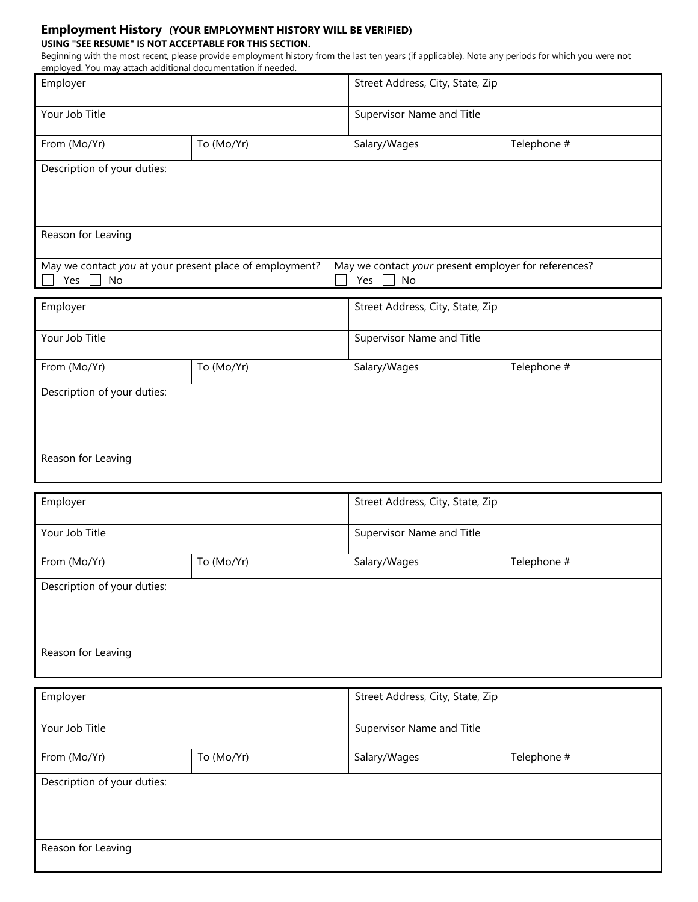### **Employment History (YOUR EMPLOYMENT HISTORY WILL BE VERIFIED) USING "SEE RESUME" IS NOT ACCEPTABLE FOR THIS SECTION.**

Beginning with the most recent, please provide employment history from the last ten years (if applicable). Note any periods for which you were not employed. You may attach additional documentation if needed.

| employed. Tod may attach additional documentation in necaed.<br>Employer |            | Street Address, City, State, Zip                                  |             |  |
|--------------------------------------------------------------------------|------------|-------------------------------------------------------------------|-------------|--|
| Your Job Title                                                           |            | Supervisor Name and Title                                         |             |  |
| From (Mo/Yr)                                                             | To (Mo/Yr) | Salary/Wages                                                      | Telephone # |  |
| Description of your duties:                                              |            |                                                                   |             |  |
|                                                                          |            |                                                                   |             |  |
| Reason for Leaving                                                       |            |                                                                   |             |  |
| May we contact you at your present place of employment?<br>Yes<br>No     |            | May we contact your present employer for references?<br>No<br>Yes |             |  |
| Employer                                                                 |            | Street Address, City, State, Zip                                  |             |  |
| Your Job Title                                                           |            | Supervisor Name and Title                                         |             |  |
| From (Mo/Yr)                                                             | To (Mo/Yr) | Salary/Wages                                                      | Telephone # |  |
| Description of your duties:                                              |            |                                                                   |             |  |
|                                                                          |            |                                                                   |             |  |
| Reason for Leaving                                                       |            |                                                                   |             |  |
| Employer                                                                 |            | Street Address, City, State, Zip                                  |             |  |
| Your Job Title                                                           |            | Supervisor Name and Title                                         |             |  |
| From (Mo/Yr)                                                             | To (Mo/Yr) | Salary/Wages                                                      | Telephone # |  |
| Description of your duties:                                              |            |                                                                   |             |  |
|                                                                          |            |                                                                   |             |  |
| Reason for Leaving                                                       |            |                                                                   |             |  |
| Employer                                                                 |            | Street Address, City, State, Zip                                  |             |  |
|                                                                          |            |                                                                   |             |  |
| Your Job Title                                                           |            | Supervisor Name and Title                                         |             |  |
| From (Mo/Yr)                                                             | To (Mo/Yr) | Salary/Wages                                                      | Telephone # |  |
| Description of your duties:                                              |            |                                                                   |             |  |
|                                                                          |            |                                                                   |             |  |
| Reason for Leaving                                                       |            |                                                                   |             |  |